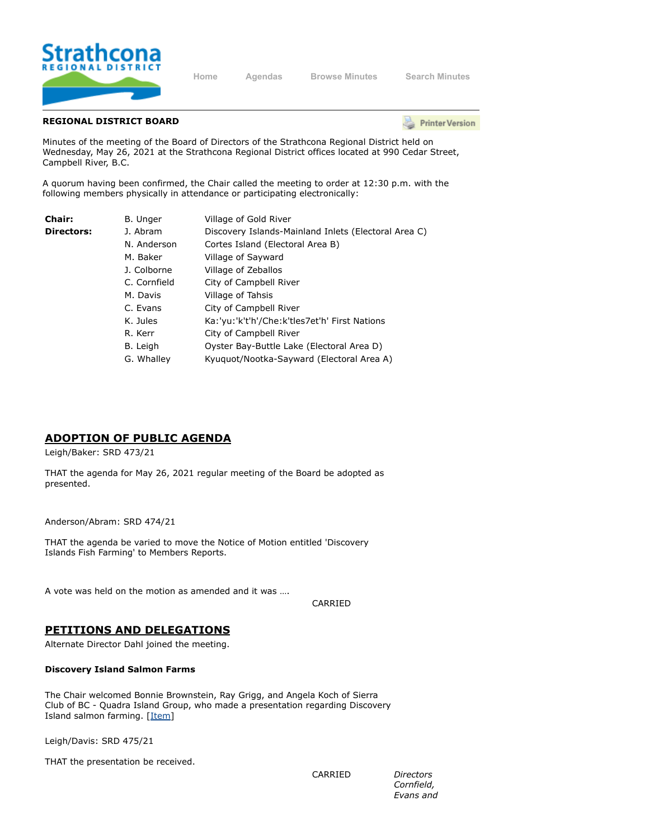

**[Home](https://srd.ca/) [Agendas](https://agenda.strathconard.ca/srdboardmeetings/content.asp?id=80) [Browse Minutes](https://agenda.strathconard.ca/srdboardmeetings/content.asp?id=81) [Search Minutes](https://agenda.strathconard.ca/srdboardmeetings/index.aspx)**

## **REGIONAL DISTRICT BOARD**

**Printer Version** 

Minutes of the meeting of the Board of Directors of the Strathcona Regional District held on Wednesday, May 26, 2021 at the Strathcona Regional District offices located at 990 Cedar Street, Campbell River, B.C.

A quorum having been confirmed, the Chair called the meeting to order at 12:30 p.m. with the following members physically in attendance or participating electronically:

| Chair:            | B. Unger     | Village of Gold River                                |
|-------------------|--------------|------------------------------------------------------|
| <b>Directors:</b> | J. Abram     | Discovery Islands-Mainland Inlets (Electoral Area C) |
|                   | N. Anderson  | Cortes Island (Electoral Area B)                     |
|                   | M. Baker     | Village of Sayward                                   |
|                   | J. Colborne  | Village of Zeballos                                  |
|                   | C. Cornfield | City of Campbell River                               |
|                   | M. Davis     | Village of Tahsis                                    |
|                   | C. Evans     | City of Campbell River                               |
|                   | K. Jules     | Ka:'yu:'k't'h'/Che:k'tles7et'h' First Nations        |
|                   | R. Kerr      | City of Campbell River                               |
|                   | B. Leigh     | Oyster Bay-Buttle Lake (Electoral Area D)            |
|                   | G. Whalley   | Kyuguot/Nootka-Sayward (Electoral Area A)            |
|                   |              |                                                      |

## **ADOPTION OF PUBLIC AGENDA**

Leigh/Baker: SRD 473/21

THAT the agenda for May 26, 2021 regular meeting of the Board be adopted as presented.

Anderson/Abram: SRD 474/21

THAT the agenda be varied to move the Notice of Motion entitled 'Discovery Islands Fish Farming' to Members Reports.

A vote was held on the motion as amended and it was ….

CARRIED

## **PETITIONS AND DELEGATIONS**

Alternate Director Dahl joined the meeting.

#### **Discovery Island Salmon Farms**

The Chair welcomed Bonnie Brownstein, Ray Grigg, and Angela Koch of Sierra Club of BC - Quadra Island Group, who made a presentation regarding Discovery Island salmon farming. [[Item\]](https://agenda.strathconard.ca/SRDAttachments/SRDBoard/Open/BRD/26-May-21/Combined.pdf)

Leigh/Davis: SRD 475/21

THAT the presentation be received.

CARRIED *Directors*

*Cornfield, Evans and*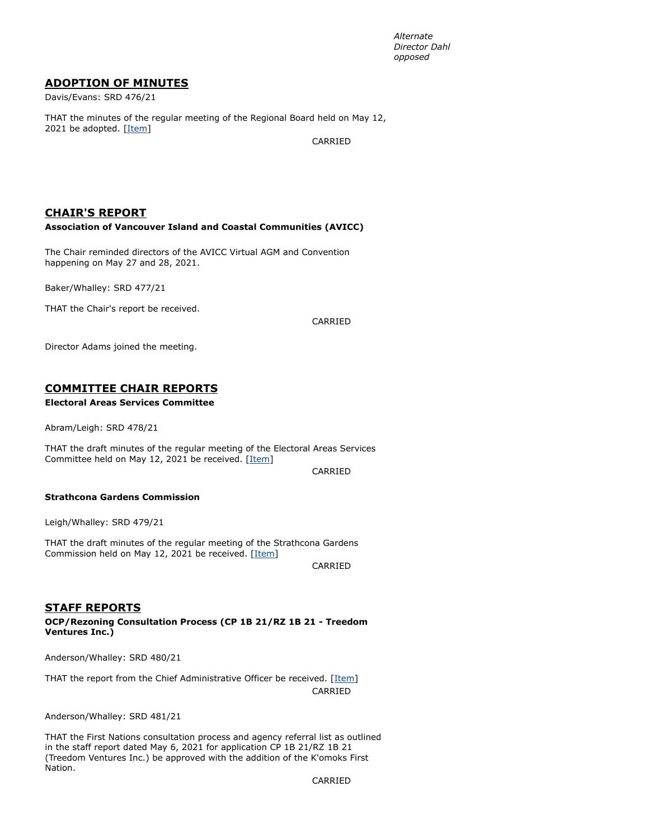*Alternate Director Dahl opposed*

## **ADOPTION OF MINUTES**

Davis/Evans: SRD 476/21

THAT the minutes of the regular meeting of the Regional Board held on May 12, 2021 be adopted. [\[Item](https://agenda.strathconard.ca/SRDAttachments/SRDBoard/Open/BRD/26-May-21/20210512-BOARD-MINUTES.pdf)]

CARRIED

## **CHAIR'S REPORT**

### **Association of Vancouver Island and Coastal Communities (AVICC)**

The Chair reminded directors of the AVICC Virtual AGM and Convention happening on May 27 and 28, 2021.

Baker/Whalley: SRD 477/21

THAT the Chair's report be received.

CARRIED

Director Adams joined the meeting.

## **COMMITTEE CHAIR REPORTS**

### **Electoral Areas Services Committee**

Abram/Leigh: SRD 478/21

THAT the draft minutes of the regular meeting of the Electoral Areas Services Committee held on May 12, 2021 be received. [\[Item\]](https://agenda.strathconard.ca/SRDAttachments/SRDBoard/Open/BRD/26-May-21/20210512-EASC-MINUTES.pdf)

CARRIED

#### **Strathcona Gardens Commission**

Leigh/Whalley: SRD 479/21

THAT the draft minutes of the regular meeting of the Strathcona Gardens Commission held on May 12, 2021 be received. [\[Item](https://agenda.strathconard.ca/SRDAttachments/SRDBoard/Open/BRD/26-May-21/20210512-SGC-MINUTES.pdf)]

CARRIED

## **STAFF REPORTS**

**OCP/Rezoning Consultation Process (CP 1B 21/RZ 1B 21 - Treedom Ventures Inc.)**

Anderson/Whalley: SRD 480/21

THAT the report from the Chief Administrative Officer be received. [[Item](https://agenda.strathconard.ca/SRDAttachments/SRDBoard/Open/BRD/26-May-21/20210514-OCP-CP-1B-21_RZ-1B-21---Treedom-Ventures.PDF)] CARRIED

Anderson/Whalley: SRD 481/21

THAT the First Nations consultation process and agency referral list as outlined in the staff report dated May 6, 2021 for application CP 1B 21/RZ 1B 21 (Treedom Ventures Inc.) be approved with the addition of the K'omoks First Nation.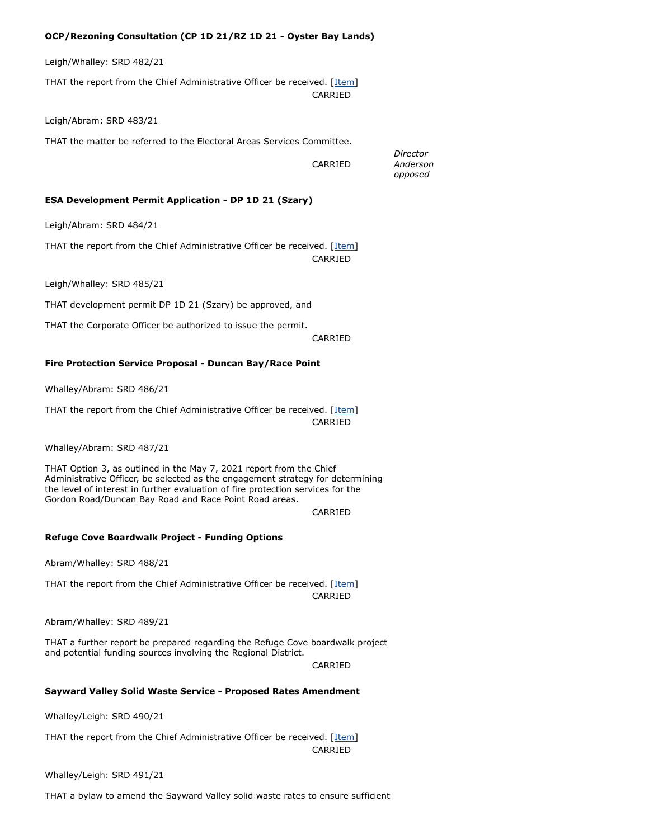### **OCP/Rezoning Consultation (CP 1D 21/RZ 1D 21 - Oyster Bay Lands)**

Leigh/Whalley: SRD 482/21

THAT the report from the Chief Administrative Officer be received. [[Item](https://agenda.strathconard.ca/SRDAttachments/SRDBoard/Open/BRD/26-May-21/20210514-OCP_Rezone-CP-1D-21_RZ-1D-21-OB-Lands.PDF)] CARRIED

Leigh/Abram: SRD 483/21

THAT the matter be referred to the Electoral Areas Services Committee.

CARRIED

*Anderson opposed*

*Director*

### **ESA Development Permit Application - DP 1D 21 (Szary)**

Leigh/Abram: SRD 484/21

THAT the report from the Chief Administrative Officer be received. [[Item](https://agenda.strathconard.ca/SRDAttachments/SRDBoard/Open/BRD/26-May-21/20210514-ESA-DP-1D-21-_Szary_.PDF)] CARRIED

Leigh/Whalley: SRD 485/21

THAT development permit DP 1D 21 (Szary) be approved, and

THAT the Corporate Officer be authorized to issue the permit.

CARRIED

### **Fire Protection Service Proposal - Duncan Bay/Race Point**

Whalley/Abram: SRD 486/21

THAT the report from the Chief Administrative Officer be received. [[Item](https://agenda.strathconard.ca/SRDAttachments/SRDBoard/Open/BRD/26-May-21/20210521-Fire-Protection-Service-Duncan-Bay_Race-Point.PDF)] CARRIED

Whalley/Abram: SRD 487/21

THAT Option 3, as outlined in the May 7, 2021 report from the Chief Administrative Officer, be selected as the engagement strategy for determining the level of interest in further evaluation of fire protection services for the Gordon Road/Duncan Bay Road and Race Point Road areas.

CARRIED

#### **Refuge Cove Boardwalk Project - Funding Options**

Abram/Whalley: SRD 488/21

THAT the report from the Chief Administrative Officer be received. [[Item](https://agenda.strathconard.ca/SRDAttachments/SRDBoard/Open/BRD/26-May-21/20210521-Refuge-Cove-Boardwalk.PDF)] CARRIED

Abram/Whalley: SRD 489/21

THAT a further report be prepared regarding the Refuge Cove boardwalk project and potential funding sources involving the Regional District.

CARRIED

#### **Sayward Valley Solid Waste Service - Proposed Rates Amendment**

Whalley/Leigh: SRD 490/21

THAT the report from the Chief Administrative Officer be received. [[Item](https://agenda.strathconard.ca/SRDAttachments/SRDBoard/Open/BRD/26-May-21/20210519-Sayward-Valley-Solid-Waste-Rates.PDF)] CARRIED

Whalley/Leigh: SRD 491/21

THAT a bylaw to amend the Sayward Valley solid waste rates to ensure sufficient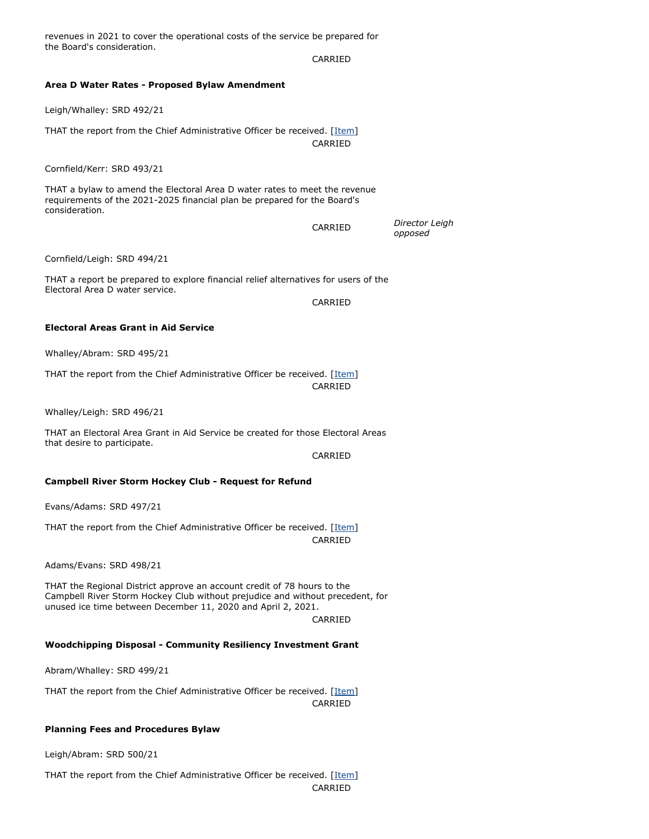the Board's consideration. CARRIED **Area D Water Rates - Proposed Bylaw Amendment** Leigh/Whalley: SRD 492/21 THAT the report from the Chief Administrative Officer be received. [[Item](https://agenda.strathconard.ca/SRDAttachments/SRDBoard/Open/BRD/26-May-21/20210517-Area-D-Water-Rates.PDF)] CARRIED Cornfield/Kerr: SRD 493/21 THAT a bylaw to amend the Electoral Area D water rates to meet the revenue requirements of the 2021-2025 financial plan be prepared for the Board's consideration. CARRIED *Director Leigh opposed* Cornfield/Leigh: SRD 494/21 THAT a report be prepared to explore financial relief alternatives for users of the Electoral Area D water service. CARRIED **Electoral Areas Grant in Aid Service** Whalley/Abram: SRD 495/21 THAT the report from the Chief Administrative Officer be received. [[Item](https://agenda.strathconard.ca/SRDAttachments/SRDBoard/Open/BRD/26-May-21/20210517-EA-GIA-Service.PDF)] CARRIED Whalley/Leigh: SRD 496/21 THAT an Electoral Area Grant in Aid Service be created for those Electoral Areas that desire to participate. CARRIED **Campbell River Storm Hockey Club - Request for Refund** Evans/Adams: SRD 497/21 THAT the report from the Chief Administrative Officer be received. [[Item](https://agenda.strathconard.ca/SRDAttachments/SRDBoard/Open/BRD/26-May-21/20210420-CR-Storm---Request-for-Refund.PDF)] CARRIED Adams/Evans: SRD 498/21 THAT the Regional District approve an account credit of 78 hours to the Campbell River Storm Hockey Club without prejudice and without precedent, for unused ice time between December 11, 2020 and April 2, 2021. CARRIED **Woodchipping Disposal - Community Resiliency Investment Grant** Abram/Whalley: SRD 499/21 THAT the report from the Chief Administrative Officer be received. [[Item](https://agenda.strathconard.ca/SRDAttachments/SRDBoard/Open/BRD/26-May-21/20210521-Woodchipping-Disposal.pdf)]

CARRIED

revenues in 2021 to cover the operational costs of the service be prepared for

#### **Planning Fees and Procedures Bylaw**

Leigh/Abram: SRD 500/21

THAT the report from the Chief Administrative Officer be received. [[Item](https://agenda.strathconard.ca/SRDAttachments/SRDBoard/Open/BRD/26-May-21/20210521-Planning-Fees-and-Procedures-Bylaw.PDF)] CARRIED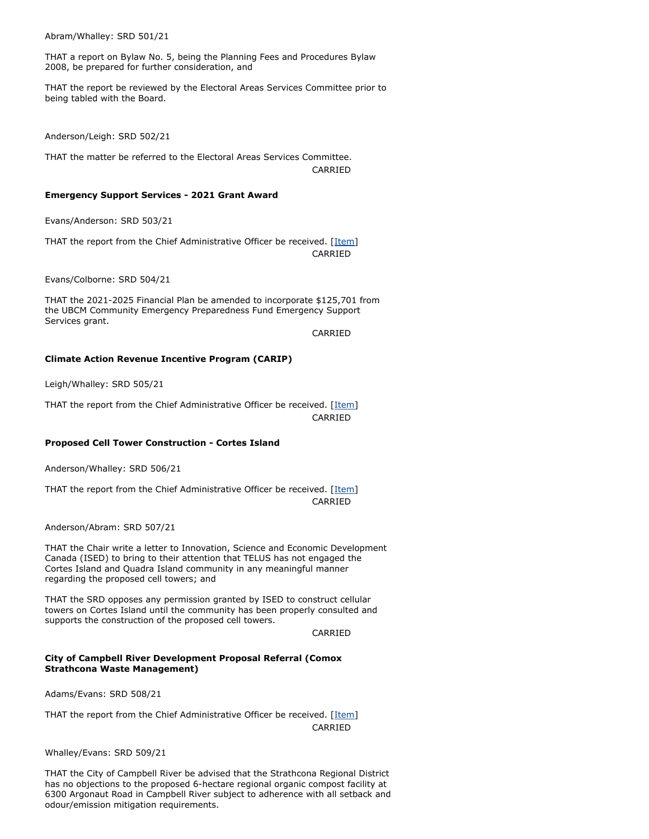Abram/Whalley: SRD 501/21

THAT a report on Bylaw No. 5, being the Planning Fees and Procedures Bylaw 2008, be prepared for further consideration, and

THAT the report be reviewed by the Electoral Areas Services Committee prior to being tabled with the Board.

Anderson/Leigh: SRD 502/21

THAT the matter be referred to the Electoral Areas Services Committee. CARRIED

#### **Emergency Support Services - 2021 Grant Award**

Evans/Anderson: SRD 503/21

THAT the report from the Chief Administrative Officer be received. [[Item](https://agenda.strathconard.ca/SRDAttachments/SRDBoard/Open/BRD/26-May-21/20210507-ESS---2021-Grant-Award.PDF)] CARRIED

Evans/Colborne: SRD 504/21

THAT the 2021-2025 Financial Plan be amended to incorporate \$125,701 from the UBCM Community Emergency Preparedness Fund Emergency Support Services grant.

CARRIED

#### **Climate Action Revenue Incentive Program (CARIP)**

Leigh/Whalley: SRD 505/21

THAT the report from the Chief Administrative Officer be received. [[Item](https://agenda.strathconard.ca/SRDAttachments/SRDBoard/Open/BRD/26-May-21/20210514-CARIP.PDF)] CARRIED

#### **Proposed Cell Tower Construction - Cortes Island**

Anderson/Whalley: SRD 506/21

THAT the report from the Chief Administrative Officer be received. [[Item](https://agenda.strathconard.ca/SRDAttachments/SRDBoard/Open/BRD/26-May-21/20210519-Cell-Towers-Cortes-Island.PDF)] CARRIED

Anderson/Abram: SRD 507/21

THAT the Chair write a letter to Innovation, Science and Economic Development Canada (ISED) to bring to their attention that TELUS has not engaged the Cortes Island and Quadra Island community in any meaningful manner regarding the proposed cell towers; and

THAT the SRD opposes any permission granted by ISED to construct cellular towers on Cortes Island until the community has been properly consulted and supports the construction of the proposed cell towers.

CARRIED

#### **City of Campbell River Development Proposal Referral (Comox Strathcona Waste Management)**

Adams/Evans: SRD 508/21

THAT the report from the Chief Administrative Officer be received. [[Item](https://agenda.strathconard.ca/SRDAttachments/SRDBoard/Open/BRD/26-May-21/20210519-CCR-Referral---CSWM.pdf)] CARRIED

Whalley/Evans: SRD 509/21

THAT the City of Campbell River be advised that the Strathcona Regional District has no objections to the proposed 6-hectare regional organic compost facility at 6300 Argonaut Road in Campbell River subject to adherence with all setback and odour/emission mitigation requirements.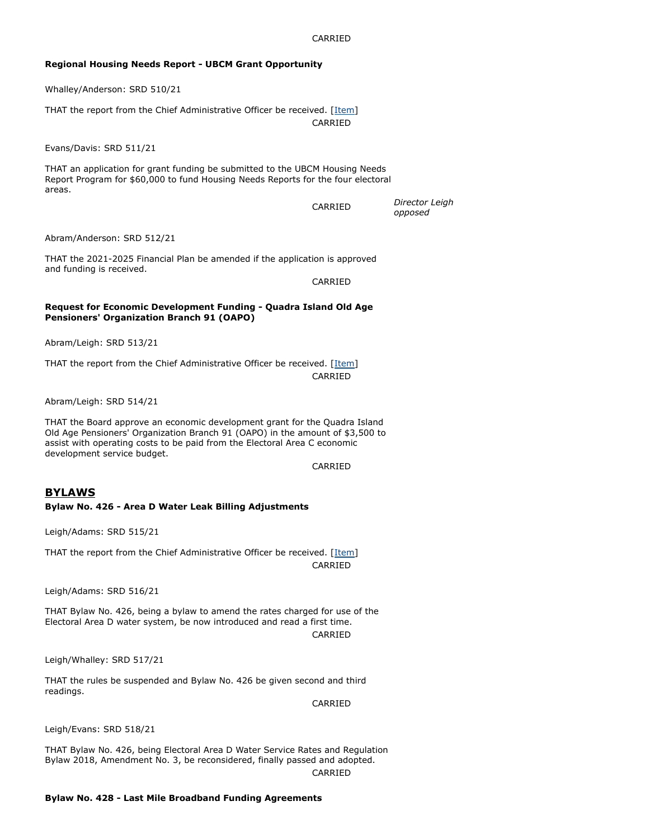### **Regional Housing Needs Report - UBCM Grant Opportunity**

Whalley/Anderson: SRD 510/21

THAT the report from the Chief Administrative Officer be received. [[Item](https://agenda.strathconard.ca/SRDAttachments/SRDBoard/Open/BRD/26-May-21/20210520-Regional-Housing-Needs-Report---UBCM-Grant-App.PDF)] CARRIED

Evans/Davis: SRD 511/21

THAT an application for grant funding be submitted to the UBCM Housing Needs Report Program for \$60,000 to fund Housing Needs Reports for the four electoral areas.

CARRIED

*Director Leigh opposed*

Abram/Anderson: SRD 512/21

THAT the 2021-2025 Financial Plan be amended if the application is approved and funding is received.

CARRIED

#### **Request for Economic Development Funding - Quadra Island Old Age Pensioners' Organization Branch 91 (OAPO)**

Abram/Leigh: SRD 513/21

THAT the report from the Chief Administrative Officer be received. [[Item](https://agenda.strathconard.ca/SRDAttachments/SRDBoard/Open/BRD/26-May-21/20210514-EcDev-Req---QI-OAPO-Br_-91.PDF)] CARRIED

Abram/Leigh: SRD 514/21

THAT the Board approve an economic development grant for the Quadra Island Old Age Pensioners' Organization Branch 91 (OAPO) in the amount of \$3,500 to assist with operating costs to be paid from the Electoral Area C economic development service budget.

CARRIED

## **BYLAWS**

#### **Bylaw No. 426 - Area D Water Leak Billing Adjustments**

Leigh/Adams: SRD 515/21

THAT the report from the Chief Administrative Officer be received. [[Item](https://agenda.strathconard.ca/SRDAttachments/SRDBoard/Open/BRD/26-May-21/20210517-Bylaw-No_-426-Area-D-Water-Leak-Billing.PDF)] CARRIED

Leigh/Adams: SRD 516/21

THAT Bylaw No. 426, being a bylaw to amend the rates charged for use of the Electoral Area D water system, be now introduced and read a first time. CARRIED

Leigh/Whalley: SRD 517/21

THAT the rules be suspended and Bylaw No. 426 be given second and third readings.

CARRIED

Leigh/Evans: SRD 518/21

THAT Bylaw No. 426, being Electoral Area D Water Service Rates and Regulation Bylaw 2018, Amendment No. 3, be reconsidered, finally passed and adopted. CARRIED

**Bylaw No. 428 - Last Mile Broadband Funding Agreements**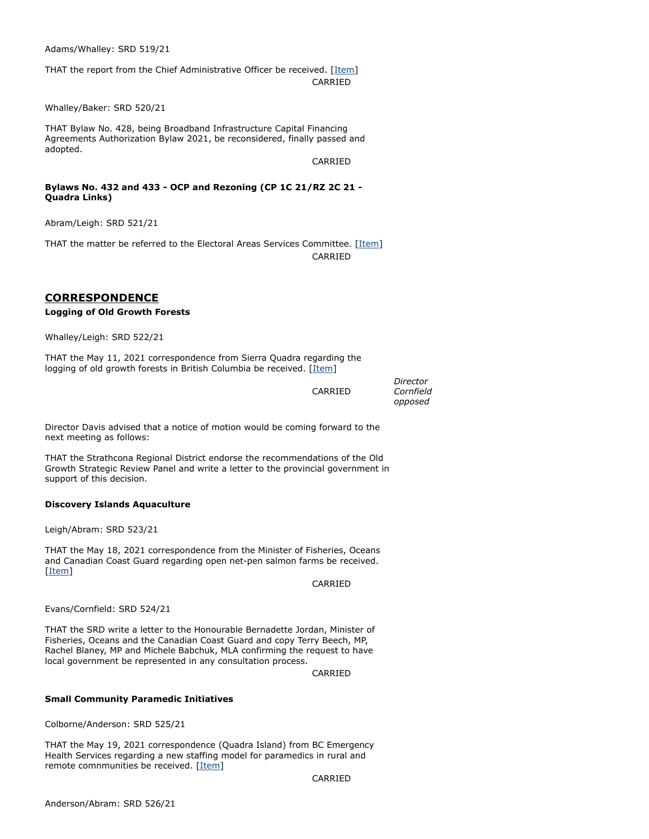Adams/Whalley: SRD 519/21

THAT the report from the Chief Administrative Officer be received. [[Item](https://agenda.strathconard.ca/SRDAttachments/SRDBoard/Open/BRD/26-May-21/20210521-Bylaw-No_-428-Last-Mile-Funding-Agreements.PDF)] CARRIED

Whalley/Baker: SRD 520/21

THAT Bylaw No. 428, being Broadband Infrastructure Capital Financing Agreements Authorization Bylaw 2021, be reconsidered, finally passed and adopted.

CARRIED

### **Bylaws No. 432 and 433 - OCP and Rezoning (CP 1C 21/RZ 2C 21 - Quadra Links)**

Abram/Leigh: SRD 521/21

THAT the matter be referred to the Electoral Areas Services Committee. [[Item\]](https://agenda.strathconard.ca/SRDAttachments/SRDBoard/Open/BRD/26-May-21/20210517-Bylaws-No_-432-and-433-Quadra-Links.PDF) CARRIED

## **CORRESPONDENCE**

#### **Logging of Old Growth Forests**

Whalley/Leigh: SRD 522/21

THAT the May 11, 2021 correspondence from Sierra Quadra regarding the logging of old growth forests in British Columbia be received. [\[Item](https://agenda.strathconard.ca/SRDAttachments/SRDBoard/Open/BRD/26-May-21/20210511-Old-Growth-Logging.pdf)]

|         | Director  |
|---------|-----------|
| CARRIED | Cornfield |
|         | opposed   |

Director Davis advised that a notice of motion would be coming forward to the next meeting as follows:

THAT the Strathcona Regional District endorse the recommendations of the Old Growth Strategic Review Panel and write a letter to the provincial government in support of this decision.

#### **Discovery Islands Aquaculture**

Leigh/Abram: SRD 523/21

THAT the May 18, 2021 correspondence from the Minister of Fisheries, Oceans and Canadian Coast Guard regarding open net-pen salmon farms be received. [\[Item](https://agenda.strathconard.ca/SRDAttachments/SRDBoard/Open/BRD/26-May-21/20210518-DFO-re-Aquaculture-Plans.pdf)]

CARRIED

Evans/Cornfield: SRD 524/21

THAT the SRD write a letter to the Honourable Bernadette Jordan, Minister of Fisheries, Oceans and the Canadian Coast Guard and copy Terry Beech, MP, Rachel Blaney, MP and Michele Babchuk, MLA confirming the request to have local government be represented in any consultation process.

CARRIED

#### **Small Community Paramedic Initiatives**

Colborne/Anderson: SRD 525/21

THAT the May 19, 2021 correspondence (Quadra Island) from BC Emergency Health Services regarding a new staffing model for paramedics in rural and remote comnmunities be received. [[Item\]](https://agenda.strathconard.ca/SRDAttachments/SRDBoard/Open/BRD/26-May-21/SOC-Prototype-Ltr---Quadra-Island.pdf)

CARRIED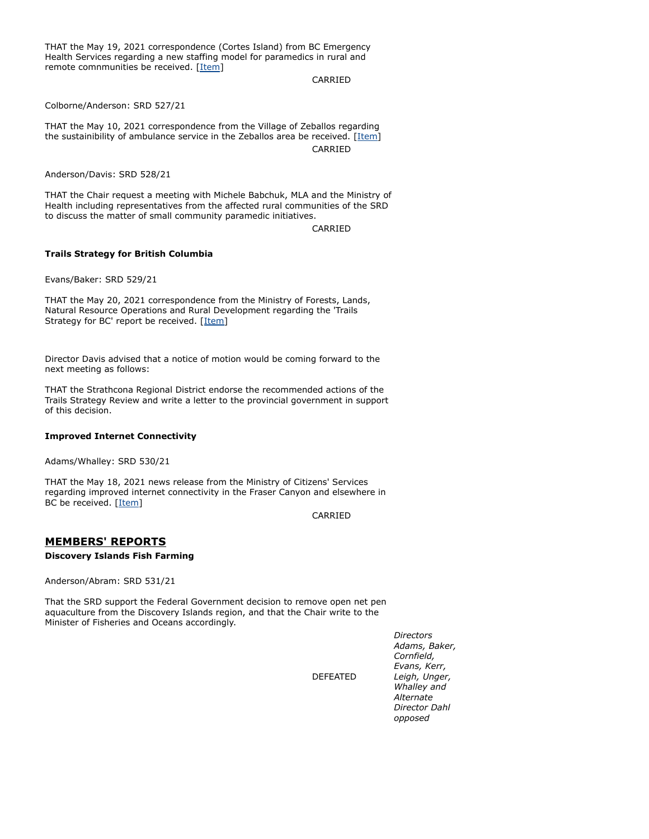THAT the May 19, 2021 correspondence (Cortes Island) from BC Emergency Health Services regarding a new staffing model for paramedics in rural and remote comnmunities be received. [[Item\]](https://agenda.strathconard.ca/SRDAttachments/SRDBoard/Open/BRD/26-May-21/SOC-Prototype-Ltr---Cortes-Island-_002_.pdf)

CARRIED

Colborne/Anderson: SRD 527/21

THAT the May 10, 2021 correspondence from the Village of Zeballos regarding the sustainibility of ambulance service in the Zeballos area be received. [\[Item](https://agenda.strathconard.ca/SRDAttachments/SRDBoard/Open/BRD/26-May-21/20210510-Zeballos-re-Ambulance-Service.pdf)] CARRIED

Anderson/Davis: SRD 528/21

THAT the Chair request a meeting with Michele Babchuk, MLA and the Ministry of Health including representatives from the affected rural communities of the SRD to discuss the matter of small community paramedic initiatives.

CARRIED

#### **Trails Strategy for British Columbia**

Evans/Baker: SRD 529/21

THAT the May 20, 2021 correspondence from the Ministry of Forests, Lands, Natural Resource Operations and Rural Development regarding the 'Trails Strategy for BC' report be received. [\[Item](https://agenda.strathconard.ca/SRDAttachments/SRDBoard/Open/BRD/26-May-21/Trails-Strategy-COMBINED.pdf)]

Director Davis advised that a notice of motion would be coming forward to the next meeting as follows:

THAT the Strathcona Regional District endorse the recommended actions of the Trails Strategy Review and write a letter to the provincial government in support of this decision.

### **Improved Internet Connectivity**

Adams/Whalley: SRD 530/21

THAT the May 18, 2021 news release from the Ministry of Citizens' Services regarding improved internet connectivity in the Fraser Canyon and elsewhere in BC be received. [[Item](https://agenda.strathconard.ca/SRDAttachments/SRDBoard/Open/BRD/26-May-21/20210521-CivicInfo-re-Connectivity.pdf)]

CARRIED

DEFEATED

## **MEMBERS' REPORTS**

#### **Discovery Islands Fish Farming**

Anderson/Abram: SRD 531/21

That the SRD support the Federal Government decision to remove open net pen aquaculture from the Discovery Islands region, and that the Chair write to the Minister of Fisheries and Oceans accordingly.

> *Directors Adams, Baker, Cornfield, Evans, Kerr, Leigh, Unger, Whalley and Alternate Director Dahl opposed*